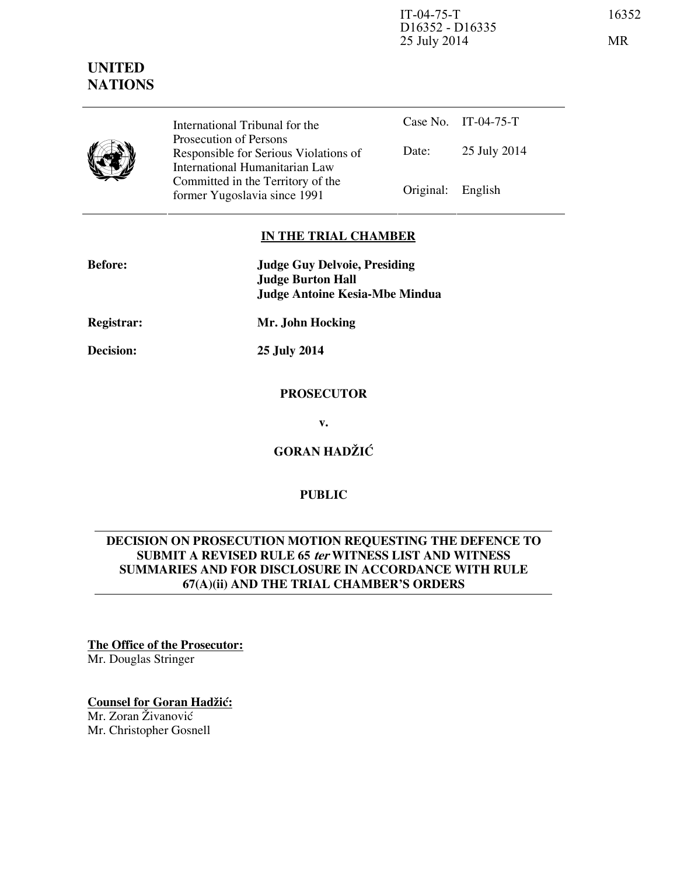IT-04-75-T 16352 D16352 - D16335 25 July 2014 MR

# **UNITED NATIONS**



Case No. IT-04-75-T Date: 25 July 2014 International Tribunal for the Prosecution of Persons Responsible for Serious Violations of International Humanitarian Law Committed in the Territory of the Former Yugoslavia since 1991 Original: English

## **IN THE TRIAL CHAMBER**

| <b>Before:</b>    | <b>Judge Guy Delvoie, Presiding</b><br><b>Judge Burton Hall</b><br><b>Judge Antoine Kesia-Mbe Mindua</b> |
|-------------------|----------------------------------------------------------------------------------------------------------|
| <b>Registrar:</b> | Mr. John Hocking                                                                                         |

**Decision: 25 July 2014** 

#### **PROSECUTOR**

**v.** 

**GORAN HADŽIĆ** 

## **PUBLIC**

## **DECISION ON PROSECUTION MOTION REQUESTING THE DEFENCE TO SUBMIT A REVISED RULE 65 ter WITNESS LIST AND WITNESS SUMMARIES AND FOR DISCLOSURE IN ACCORDANCE WITH RULE 67(A)(ii) AND THE TRIAL CHAMBER'S ORDERS**

# **The Office of the Prosecutor:**

Mr. Douglas Stringer

# **Counsel for Goran Hadžić:**

Mr. Zoran Živanović Mr. Christopher Gosnell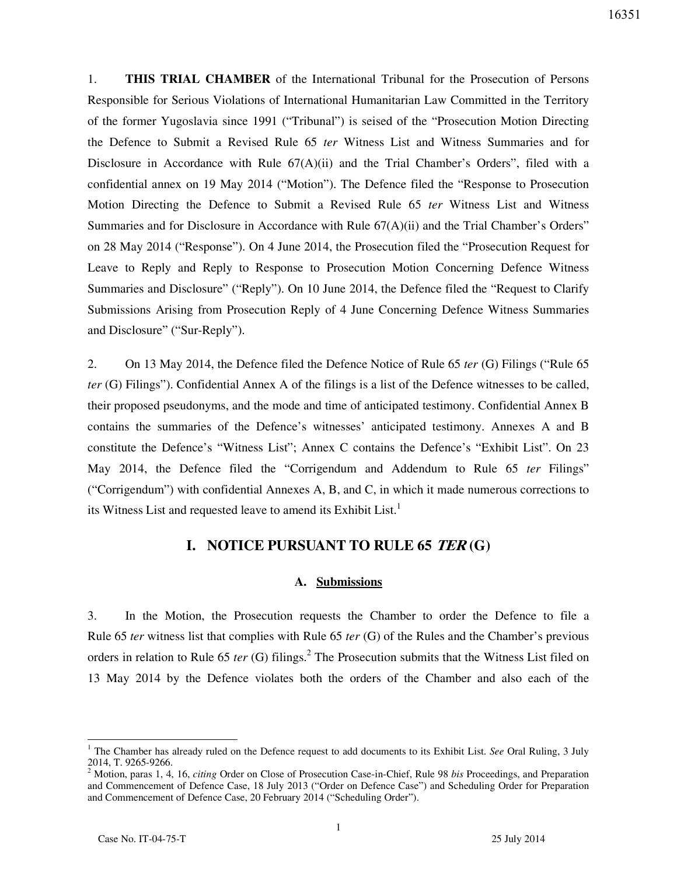1. **THIS TRIAL CHAMBER** of the International Tribunal for the Prosecution of Persons Responsible for Serious Violations of International Humanitarian Law Committed in the Territory of the former Yugoslavia since 1991 ("Tribunal") is seised of the "Prosecution Motion Directing the Defence to Submit a Revised Rule 65 *ter* Witness List and Witness Summaries and for Disclosure in Accordance with Rule  $67(A)(ii)$  and the Trial Chamber's Orders", filed with a confidential annex on 19 May 2014 ("Motion"). The Defence filed the "Response to Prosecution Motion Directing the Defence to Submit a Revised Rule 65 *ter* Witness List and Witness Summaries and for Disclosure in Accordance with Rule 67(A)(ii) and the Trial Chamber's Orders" on 28 May 2014 ("Response"). On 4 June 2014, the Prosecution filed the "Prosecution Request for Leave to Reply and Reply to Response to Prosecution Motion Concerning Defence Witness Summaries and Disclosure" ("Reply"). On 10 June 2014, the Defence filed the "Request to Clarify Submissions Arising from Prosecution Reply of 4 June Concerning Defence Witness Summaries and Disclosure" ("Sur-Reply").

2. On 13 May 2014, the Defence filed the Defence Notice of Rule 65 *ter* (G) Filings ("Rule 65 *ter* (G) Filings"). Confidential Annex A of the filings is a list of the Defence witnesses to be called, their proposed pseudonyms, and the mode and time of anticipated testimony. Confidential Annex B contains the summaries of the Defence's witnesses' anticipated testimony. Annexes A and B constitute the Defence's "Witness List"; Annex C contains the Defence's "Exhibit List". On 23 May 2014, the Defence filed the "Corrigendum and Addendum to Rule 65 *ter* Filings" ("Corrigendum") with confidential Annexes A, B, and C, in which it made numerous corrections to its Witness List and requested leave to amend its Exhibit List.<sup>1</sup>

## **I. NOTICE PURSUANT TO RULE 65 TER (G)**

## **A. Submissions**

3. In the Motion, the Prosecution requests the Chamber to order the Defence to file a Rule 65 *ter* witness list that complies with Rule 65 *ter* (G) of the Rules and the Chamber's previous orders in relation to Rule 65 *ter* (G) filings.<sup>2</sup> The Prosecution submits that the Witness List filed on 13 May 2014 by the Defence violates both the orders of the Chamber and also each of the

<sup>&</sup>lt;sup>1</sup> The Chamber has already ruled on the Defence request to add documents to its Exhibit List. *See* Oral Ruling, 3 July 2014, T. 9265-9266.

<sup>2</sup> Motion, paras 1, 4, 16, *citing* Order on Close of Prosecution Case-in-Chief, Rule 98 *bis* Proceedings, and Preparation and Commencement of Defence Case, 18 July 2013 ("Order on Defence Case") and Scheduling Order for Preparation and Commencement of Defence Case, 20 February 2014 ("Scheduling Order").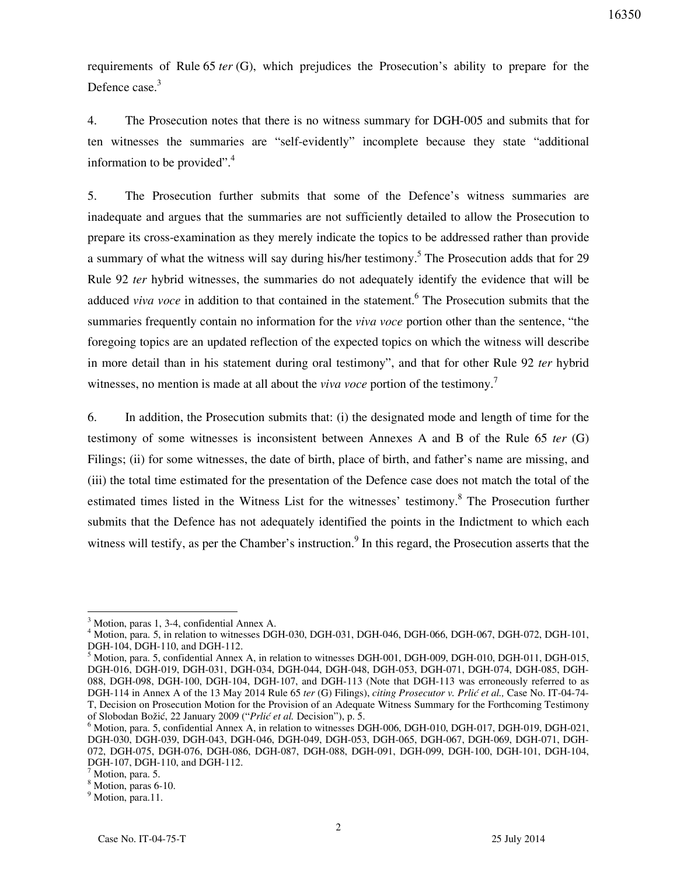requirements of Rule 65 *ter* (G), which prejudices the Prosecution's ability to prepare for the Defence case.<sup>3</sup>

4. The Prosecution notes that there is no witness summary for DGH-005 and submits that for ten witnesses the summaries are "self-evidently" incomplete because they state "additional information to be provided". $4$ 

5. The Prosecution further submits that some of the Defence's witness summaries are inadequate and argues that the summaries are not sufficiently detailed to allow the Prosecution to prepare its cross-examination as they merely indicate the topics to be addressed rather than provide a summary of what the witness will say during his/her testimony.<sup>5</sup> The Prosecution adds that for 29 Rule 92 *ter* hybrid witnesses, the summaries do not adequately identify the evidence that will be adduced *viva voce* in addition to that contained in the statement.<sup>6</sup> The Prosecution submits that the summaries frequently contain no information for the *viva voce* portion other than the sentence, "the foregoing topics are an updated reflection of the expected topics on which the witness will describe in more detail than in his statement during oral testimony", and that for other Rule 92 *ter* hybrid witnesses, no mention is made at all about the *viva voce* portion of the testimony.<sup>7</sup>

6. In addition, the Prosecution submits that: (i) the designated mode and length of time for the testimony of some witnesses is inconsistent between Annexes A and B of the Rule 65 *ter* (G) Filings; (ii) for some witnesses, the date of birth, place of birth, and father's name are missing, and (iii) the total time estimated for the presentation of the Defence case does not match the total of the estimated times listed in the Witness List for the witnesses' testimony.<sup>8</sup> The Prosecution further submits that the Defence has not adequately identified the points in the Indictment to which each witness will testify, as per the Chamber's instruction.<sup>9</sup> In this regard, the Prosecution asserts that the

<sup>3</sup> Motion, paras 1, 3-4, confidential Annex A.

<sup>&</sup>lt;sup>4</sup> Motion, para. 5, in relation to witnesses DGH-030, DGH-031, DGH-046, DGH-066, DGH-067, DGH-072, DGH-101, DGH-104, DGH-110, and DGH-112.

<sup>&</sup>lt;sup>5</sup> Motion, para. 5, confidential Annex A, in relation to witnesses DGH-001, DGH-009, DGH-010, DGH-011, DGH-015, DGH-016, DGH-019, DGH-031, DGH-034, DGH-044, DGH-048, DGH-053, DGH-071, DGH-074, DGH-085, DGH-088, DGH-098, DGH-100, DGH-104, DGH-107, and DGH-113 (Note that DGH-113 was erroneously referred to as DGH-114 in Annex A of the 13 May 2014 Rule 65 ter (G) Filings), *citing Prosecutor v. Prlić et al.*, Case No. IT-04-74-T, Decision on Prosecution Motion for the Provision of an Adequate Witness Summary for the Forthcoming Testimony of Slobodan Božić, 22 January 2009 ("*Prlić et al.* Decision"), p. 5.

<sup>&</sup>lt;sup>6</sup> Motion, para. 5, confidential Annex A, in relation to witnesses DGH-006, DGH-010, DGH-017, DGH-019, DGH-021, DGH-030, DGH-039, DGH-043, DGH-046, DGH-049, DGH-053, DGH-065, DGH-067, DGH-069, DGH-071, DGH-072, DGH-075, DGH-076, DGH-086, DGH-087, DGH-088, DGH-091, DGH-099, DGH-100, DGH-101, DGH-104, DGH-107, DGH-110, and DGH-112.

<sup>7</sup> Motion, para. 5.

<sup>8</sup> Motion, paras 6-10.

<sup>&</sup>lt;sup>9</sup> Motion, para.11.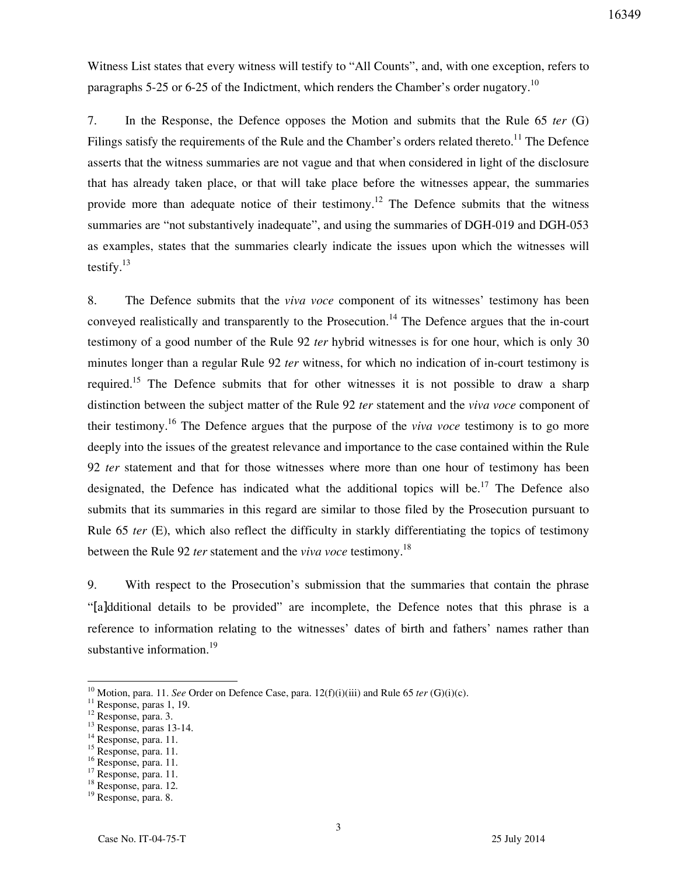Witness List states that every witness will testify to "All Counts", and, with one exception, refers to paragraphs 5-25 or 6-25 of the Indictment, which renders the Chamber's order nugatory.<sup>10</sup>

7. In the Response, the Defence opposes the Motion and submits that the Rule 65 *ter* (G) Filings satisfy the requirements of the Rule and the Chamber's orders related thereto.<sup>11</sup> The Defence asserts that the witness summaries are not vague and that when considered in light of the disclosure that has already taken place, or that will take place before the witnesses appear, the summaries provide more than adequate notice of their testimony.<sup>12</sup> The Defence submits that the witness summaries are "not substantively inadequate", and using the summaries of DGH-019 and DGH-053 as examples, states that the summaries clearly indicate the issues upon which the witnesses will testify. $13$ 

8. The Defence submits that the *viva voce* component of its witnesses' testimony has been conveyed realistically and transparently to the Prosecution.<sup>14</sup> The Defence argues that the in-court testimony of a good number of the Rule 92 *ter* hybrid witnesses is for one hour, which is only 30 minutes longer than a regular Rule 92 *ter* witness, for which no indication of in-court testimony is required.<sup>15</sup> The Defence submits that for other witnesses it is not possible to draw a sharp distinction between the subject matter of the Rule 92 *ter* statement and the *viva voce* component of their testimony.<sup>16</sup> The Defence argues that the purpose of the *viva voce* testimony is to go more deeply into the issues of the greatest relevance and importance to the case contained within the Rule 92 *ter* statement and that for those witnesses where more than one hour of testimony has been designated, the Defence has indicated what the additional topics will be.<sup>17</sup> The Defence also submits that its summaries in this regard are similar to those filed by the Prosecution pursuant to Rule 65 *ter* (E), which also reflect the difficulty in starkly differentiating the topics of testimony between the Rule 92 *ter* statement and the *viva voce* testimony.<sup>18</sup>

9. With respect to the Prosecution's submission that the summaries that contain the phrase "[a]dditional details to be provided" are incomplete, the Defence notes that this phrase is a reference to information relating to the witnesses' dates of birth and fathers' names rather than substantive information.<sup>19</sup>

<sup>10</sup> Motion, para. 11. *See* Order on Defence Case, para. 12(f)(i)(iii) and Rule 65 *ter* (G)(i)(c).

 $11$  Response, paras 1, 19.

<sup>&</sup>lt;sup>12</sup> Response, para. 3.

 $13$  Response, paras 13-14.

<sup>&</sup>lt;sup>14</sup> Response, para. 11.

<sup>&</sup>lt;sup>15</sup> Response, para. 11.

<sup>&</sup>lt;sup>16</sup> Response, para. 11.

<sup>&</sup>lt;sup>17</sup> Response, para. 11.

<sup>18</sup> Response, para. 12.

<sup>19</sup> Response, para. 8.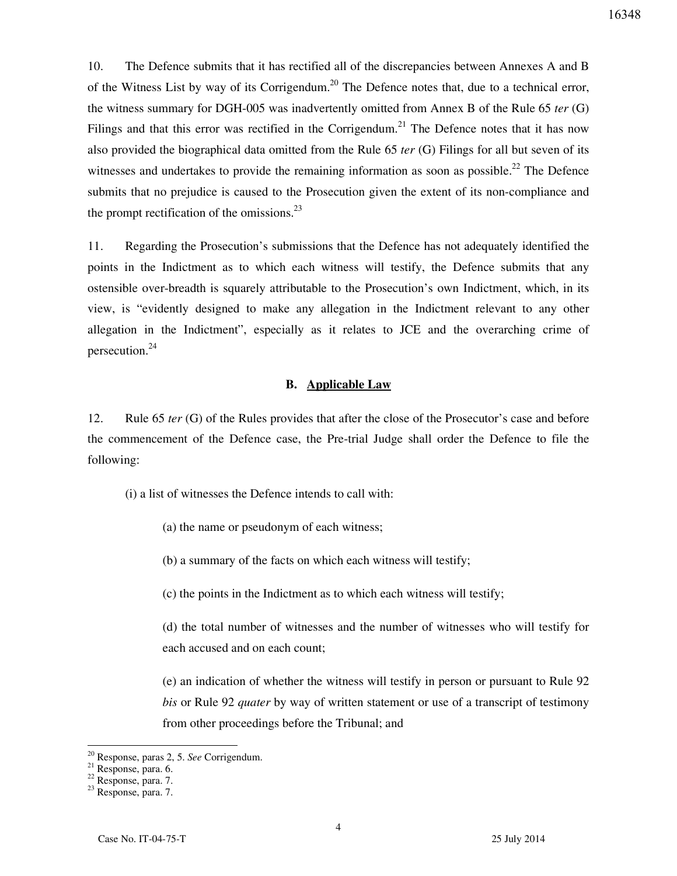10. The Defence submits that it has rectified all of the discrepancies between Annexes A and B of the Witness List by way of its Corrigendum.<sup>20</sup> The Defence notes that, due to a technical error, the witness summary for DGH-005 was inadvertently omitted from Annex B of the Rule 65 *ter* (G) Filings and that this error was rectified in the Corrigendum.<sup>21</sup> The Defence notes that it has now also provided the biographical data omitted from the Rule 65 *ter* (G) Filings for all but seven of its witnesses and undertakes to provide the remaining information as soon as possible.<sup>22</sup> The Defence submits that no prejudice is caused to the Prosecution given the extent of its non-compliance and the prompt rectification of the omissions. $^{23}$ 

11. Regarding the Prosecution's submissions that the Defence has not adequately identified the points in the Indictment as to which each witness will testify, the Defence submits that any ostensible over-breadth is squarely attributable to the Prosecution's own Indictment, which, in its view, is "evidently designed to make any allegation in the Indictment relevant to any other allegation in the Indictment", especially as it relates to JCE and the overarching crime of persecution.<sup>24</sup>

## **B. Applicable Law**

12. Rule 65 *ter* (G) of the Rules provides that after the close of the Prosecutor's case and before the commencement of the Defence case, the Pre-trial Judge shall order the Defence to file the following:

(i) a list of witnesses the Defence intends to call with:

(a) the name or pseudonym of each witness;

(b) a summary of the facts on which each witness will testify;

(c) the points in the Indictment as to which each witness will testify;

(d) the total number of witnesses and the number of witnesses who will testify for each accused and on each count;

(e) an indication of whether the witness will testify in person or pursuant to Rule 92 *bis* or Rule 92 *quater* by way of written statement or use of a transcript of testimony from other proceedings before the Tribunal; and

Response, paras 2, 5. See Corrigendum.

 $\frac{21}{21}$  Response, para. 6.

<sup>22</sup> Response, para. 7.

<sup>23</sup> Response, para. 7.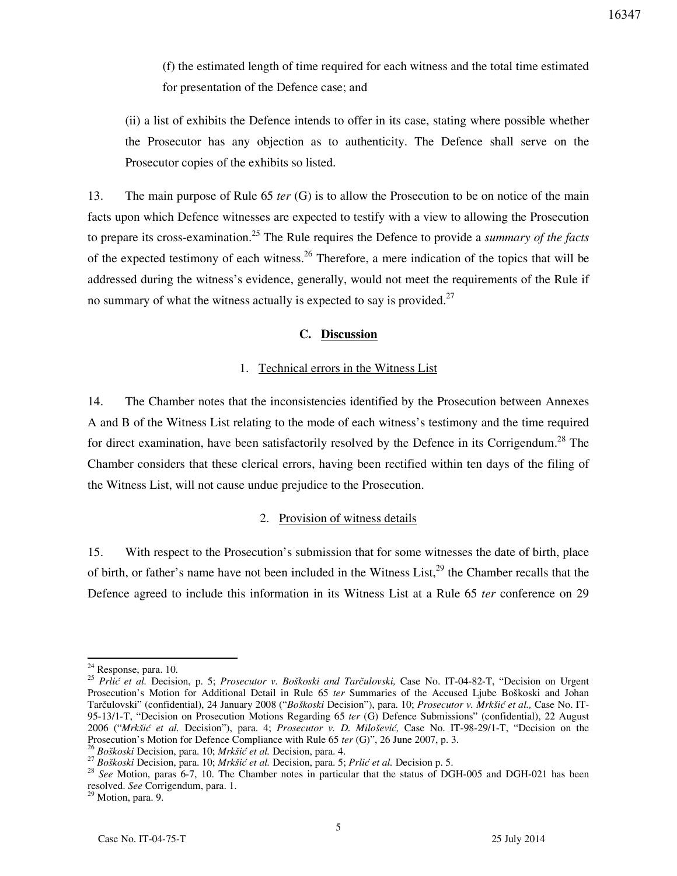(f) the estimated length of time required for each witness and the total time estimated for presentation of the Defence case; and

(ii) a list of exhibits the Defence intends to offer in its case, stating where possible whether the Prosecutor has any objection as to authenticity. The Defence shall serve on the Prosecutor copies of the exhibits so listed.

13. The main purpose of Rule 65 *ter* (G) is to allow the Prosecution to be on notice of the main facts upon which Defence witnesses are expected to testify with a view to allowing the Prosecution to prepare its cross-examination.<sup>25</sup> The Rule requires the Defence to provide a *summary of the facts*  of the expected testimony of each witness.<sup>26</sup> Therefore, a mere indication of the topics that will be addressed during the witness's evidence, generally, would not meet the requirements of the Rule if no summary of what the witness actually is expected to say is provided. $27$ 

## **C. Discussion**

#### 1. Technical errors in the Witness List

14. The Chamber notes that the inconsistencies identified by the Prosecution between Annexes A and B of the Witness List relating to the mode of each witness's testimony and the time required for direct examination, have been satisfactorily resolved by the Defence in its Corrigendum.<sup>28</sup> The Chamber considers that these clerical errors, having been rectified within ten days of the filing of the Witness List, will not cause undue prejudice to the Prosecution.

#### 2. Provision of witness details

15. With respect to the Prosecution's submission that for some witnesses the date of birth, place of birth, or father's name have not been included in the Witness List,  $2^9$  the Chamber recalls that the Defence agreed to include this information in its Witness List at a Rule 65 *ter* conference on 29

 $24$  Response, para. 10.

<sup>25</sup> *Prlić et al.* Decision, p. 5; *Prosecutor v. Boškoski and Tarčulovski,* Case No. IT-04-82-T, "Decision on Urgent Prosecution's Motion for Additional Detail in Rule 65 *ter* Summaries of the Accused Ljube Boškoski and Johan Tarčulovski" (confidential), 24 January 2008 ("*Boškoski* Decision"), para. 10; *Prosecutor v. Mrkšić et al.,* Case No. IT-95-13/1-T, "Decision on Prosecution Motions Regarding 65 *ter* (G) Defence Submissions" (confidential), 22 August 2006 ("*Mrkšić et al.* Decision"), para. 4; *Prosecutor v. D. Milošević,* Case No. IT-98-29/1-T, "Decision on the Prosecution's Motion for Defence Compliance with Rule 65 *ter* (G)", 26 June 2007, p. 3.

<sup>26</sup> *Boškoski* Decision, para. 10; *Mrkšić et al.* Decision, para. 4.

<sup>27</sup> *Boškoski* Decision, para. 10; *Mrkšić et al.* Decision, para. 5; *Prlić et al.* Decision p. 5.

<sup>&</sup>lt;sup>28</sup> *See* Motion, paras 6-7, 10. The Chamber notes in particular that the status of DGH-005 and DGH-021 has been resolved. *See* Corrigendum, para. 1.

<sup>&</sup>lt;sup>29</sup> Motion, para. 9.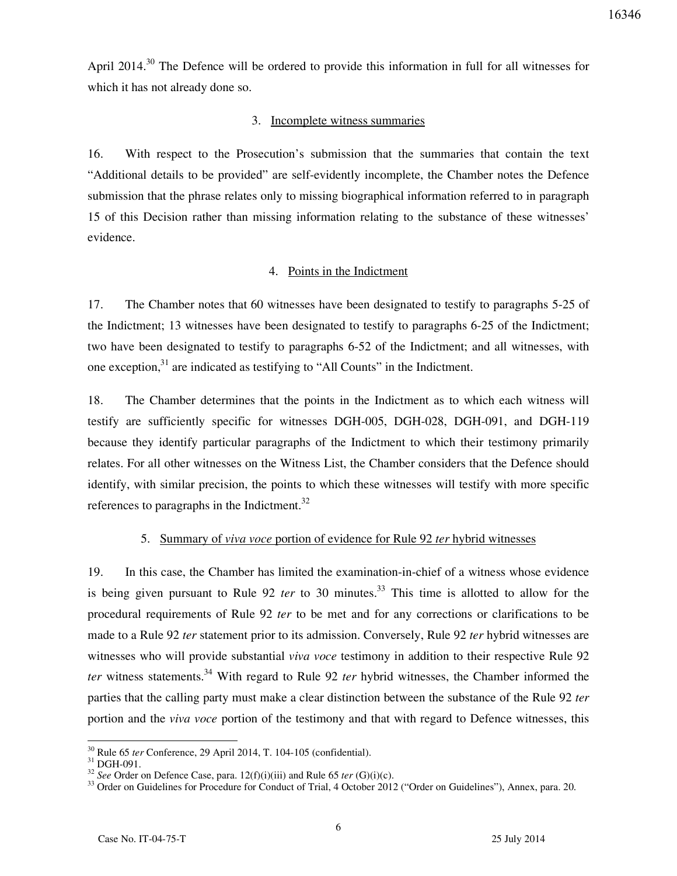April 2014.<sup>30</sup> The Defence will be ordered to provide this information in full for all witnesses for which it has not already done so.

## 3. Incomplete witness summaries

16. With respect to the Prosecution's submission that the summaries that contain the text "Additional details to be provided" are self-evidently incomplete, the Chamber notes the Defence submission that the phrase relates only to missing biographical information referred to in paragraph 15 of this Decision rather than missing information relating to the substance of these witnesses' evidence.

## 4. Points in the Indictment

17. The Chamber notes that 60 witnesses have been designated to testify to paragraphs 5-25 of the Indictment; 13 witnesses have been designated to testify to paragraphs 6-25 of the Indictment; two have been designated to testify to paragraphs 6-52 of the Indictment; and all witnesses, with one exception, $31$  are indicated as testifying to "All Counts" in the Indictment.

18. The Chamber determines that the points in the Indictment as to which each witness will testify are sufficiently specific for witnesses DGH-005, DGH-028, DGH-091, and DGH-119 because they identify particular paragraphs of the Indictment to which their testimony primarily relates. For all other witnesses on the Witness List, the Chamber considers that the Defence should identify, with similar precision, the points to which these witnesses will testify with more specific references to paragraphs in the Indictment.<sup>32</sup>

## 5. Summary of *viva voce* portion of evidence for Rule 92 *ter* hybrid witnesses

19. In this case, the Chamber has limited the examination-in-chief of a witness whose evidence is being given pursuant to Rule 92 *ter* to 30 minutes.<sup>33</sup> This time is allotted to allow for the procedural requirements of Rule 92 *ter* to be met and for any corrections or clarifications to be made to a Rule 92 *ter* statement prior to its admission. Conversely, Rule 92 *ter* hybrid witnesses are witnesses who will provide substantial *viva voce* testimony in addition to their respective Rule 92 *ter* witness statements.<sup>34</sup> With regard to Rule 92 *ter* hybrid witnesses, the Chamber informed the parties that the calling party must make a clear distinction between the substance of the Rule 92 *ter*  portion and the *viva voce* portion of the testimony and that with regard to Defence witnesses, this

 $\overline{a}$ <sup>30</sup> Rule 65 *ter* Conference, 29 April 2014, T. 104-105 (confidential).

 $31$  DGH-091.

<sup>&</sup>lt;sup>32</sup> *See* Order on Defence Case, para. 12(f)(i)(iii) and Rule 65 *ter* (G)(i)(c).

<sup>&</sup>lt;sup>33</sup> Order on Guidelines for Procedure for Conduct of Trial, 4 October 2012 ("Order on Guidelines"), Annex, para. 20.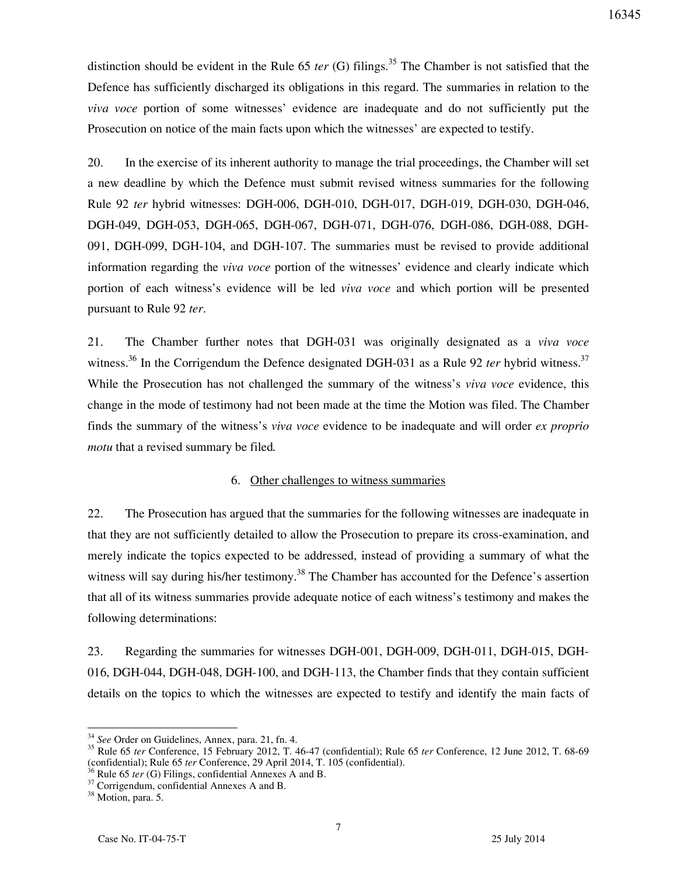distinction should be evident in the Rule 65 *ter* (G) filings.<sup>35</sup> The Chamber is not satisfied that the Defence has sufficiently discharged its obligations in this regard. The summaries in relation to the *viva voce* portion of some witnesses' evidence are inadequate and do not sufficiently put the Prosecution on notice of the main facts upon which the witnesses' are expected to testify.

20. In the exercise of its inherent authority to manage the trial proceedings, the Chamber will set a new deadline by which the Defence must submit revised witness summaries for the following Rule 92 *ter* hybrid witnesses: DGH-006, DGH-010, DGH-017, DGH-019, DGH-030, DGH-046, DGH-049, DGH-053, DGH-065, DGH-067, DGH-071, DGH-076, DGH-086, DGH-088, DGH-091, DGH-099, DGH-104, and DGH-107. The summaries must be revised to provide additional information regarding the *viva voce* portion of the witnesses' evidence and clearly indicate which portion of each witness's evidence will be led *viva voce* and which portion will be presented pursuant to Rule 92 *ter*.

21. The Chamber further notes that DGH-031 was originally designated as a *viva voce*  witness.<sup>36</sup> In the Corrigendum the Defence designated DGH-031 as a Rule 92 *ter* hybrid witness.<sup>37</sup> While the Prosecution has not challenged the summary of the witness's *viva voce* evidence, this change in the mode of testimony had not been made at the time the Motion was filed. The Chamber finds the summary of the witness's *viva voce* evidence to be inadequate and will order *ex proprio motu* that a revised summary be filed*.*

### 6. Other challenges to witness summaries

22. The Prosecution has argued that the summaries for the following witnesses are inadequate in that they are not sufficiently detailed to allow the Prosecution to prepare its cross-examination, and merely indicate the topics expected to be addressed, instead of providing a summary of what the witness will say during his/her testimony.<sup>38</sup> The Chamber has accounted for the Defence's assertion that all of its witness summaries provide adequate notice of each witness's testimony and makes the following determinations:

23. Regarding the summaries for witnesses DGH-001, DGH-009, DGH-011, DGH-015, DGH-016, DGH-044, DGH-048, DGH-100, and DGH-113, the Chamber finds that they contain sufficient details on the topics to which the witnesses are expected to testify and identify the main facts of

<sup>34</sup> *See* Order on Guidelines, Annex, para. 21, fn. 4.

<sup>35</sup> Rule 65 *ter* Conference, 15 February 2012, T. 46-47 (confidential); Rule 65 *ter* Conference, 12 June 2012, T. 68-69 (confidential); Rule 65 *ter* Conference, 29 April 2014, T. 105 (confidential).

 $\overline{5}$  Rule 65 *ter* (G) Filings, confidential Annexes A and B.

 $37$  Corrigendum, confidential Annexes A and B.

<sup>&</sup>lt;sup>38</sup> Motion, para. 5.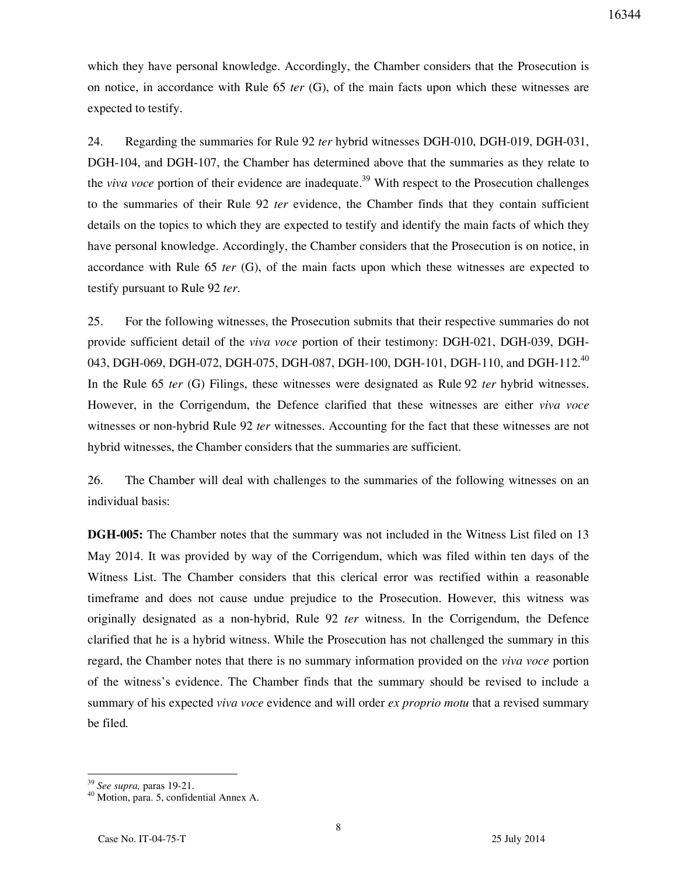which they have personal knowledge. Accordingly, the Chamber considers that the Prosecution is on notice, in accordance with Rule 65 *ter* (G), of the main facts upon which these witnesses are expected to testify.

24. Regarding the summaries for Rule 92 *ter* hybrid witnesses DGH-010, DGH-019, DGH-031, DGH-104, and DGH-107, the Chamber has determined above that the summaries as they relate to the *viva voce* portion of their evidence are inadequate.<sup>39</sup> With respect to the Prosecution challenges to the summaries of their Rule 92 *ter* evidence, the Chamber finds that they contain sufficient details on the topics to which they are expected to testify and identify the main facts of which they have personal knowledge. Accordingly, the Chamber considers that the Prosecution is on notice, in accordance with Rule 65 *ter* (G), of the main facts upon which these witnesses are expected to testify pursuant to Rule 92 *ter*.

25. For the following witnesses, the Prosecution submits that their respective summaries do not provide sufficient detail of the *viva voce* portion of their testimony: DGH-021, DGH-039, DGH-043, DGH-069, DGH-072, DGH-075, DGH-087, DGH-100, DGH-101, DGH-110, and DGH-112.<sup>40</sup> In the Rule 65 *ter* (G) Filings, these witnesses were designated as Rule 92 *ter* hybrid witnesses. However, in the Corrigendum, the Defence clarified that these witnesses are either *viva voce*  witnesses or non-hybrid Rule 92 *ter* witnesses. Accounting for the fact that these witnesses are not hybrid witnesses, the Chamber considers that the summaries are sufficient.

26. The Chamber will deal with challenges to the summaries of the following witnesses on an individual basis:

**DGH-005:** The Chamber notes that the summary was not included in the Witness List filed on 13 May 2014. It was provided by way of the Corrigendum, which was filed within ten days of the Witness List. The Chamber considers that this clerical error was rectified within a reasonable timeframe and does not cause undue prejudice to the Prosecution. However, this witness was originally designated as a non-hybrid, Rule 92 *ter* witness. In the Corrigendum, the Defence clarified that he is a hybrid witness. While the Prosecution has not challenged the summary in this regard, the Chamber notes that there is no summary information provided on the *viva voce* portion of the witness's evidence. The Chamber finds that the summary should be revised to include a summary of his expected *viva voce* evidence and will order *ex proprio motu* that a revised summary be filed*.*

<sup>39</sup> *See supra,* paras 19-21.

<sup>40</sup> Motion, para. 5, confidential Annex A.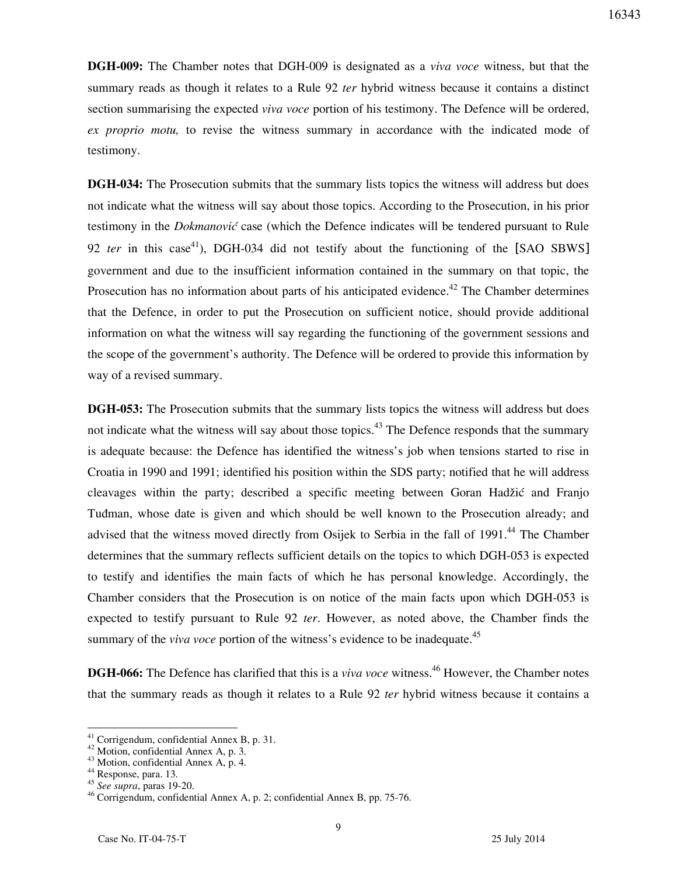**DGH-009:** The Chamber notes that DGH-009 is designated as a *viva voce* witness, but that the summary reads as though it relates to a Rule 92 *ter* hybrid witness because it contains a distinct section summarising the expected *viva voce* portion of his testimony. The Defence will be ordered, *ex proprio motu,* to revise the witness summary in accordance with the indicated mode of testimony.

**DGH-034:** The Prosecution submits that the summary lists topics the witness will address but does not indicate what the witness will say about those topics. According to the Prosecution, in his prior testimony in the *Dokmanović* case (which the Defence indicates will be tendered pursuant to Rule 92 *ter* in this case<sup>41</sup>), DGH-034 did not testify about the functioning of the [SAO SBWS] government and due to the insufficient information contained in the summary on that topic, the Prosecution has no information about parts of his anticipated evidence.<sup>42</sup> The Chamber determines that the Defence, in order to put the Prosecution on sufficient notice, should provide additional information on what the witness will say regarding the functioning of the government sessions and the scope of the government's authority. The Defence will be ordered to provide this information by way of a revised summary.

**DGH-053:** The Prosecution submits that the summary lists topics the witness will address but does not indicate what the witness will say about those topics.<sup>43</sup> The Defence responds that the summary is adequate because: the Defence has identified the witness's job when tensions started to rise in Croatia in 1990 and 1991; identified his position within the SDS party; notified that he will address cleavages within the party; described a specific meeting between Goran Hadžić and Franjo Tuđman, whose date is given and which should be well known to the Prosecution already; and advised that the witness moved directly from Osijek to Serbia in the fall of 1991.<sup>44</sup> The Chamber determines that the summary reflects sufficient details on the topics to which DGH-053 is expected to testify and identifies the main facts of which he has personal knowledge. Accordingly, the Chamber considers that the Prosecution is on notice of the main facts upon which DGH-053 is expected to testify pursuant to Rule 92 *ter*. However, as noted above, the Chamber finds the summary of the *viva voce* portion of the witness's evidence to be inadequate.<sup>45</sup>

**DGH-066:** The Defence has clarified that this is a *viva voce* witness.<sup>46</sup> However, the Chamber notes that the summary reads as though it relates to a Rule 92 *ter* hybrid witness because it contains a

 $41$  Corrigendum, confidential Annex B, p. 31.

<sup>42</sup> Motion, confidential Annex A, p. 3.

<sup>43</sup> Motion, confidential Annex A, p. 4.

<sup>44</sup> Response, para. 13.

<sup>45</sup> *See supra*, paras 19-20.

<sup>46</sup> Corrigendum, confidential Annex A, p. 2; confidential Annex B, pp. 75-76.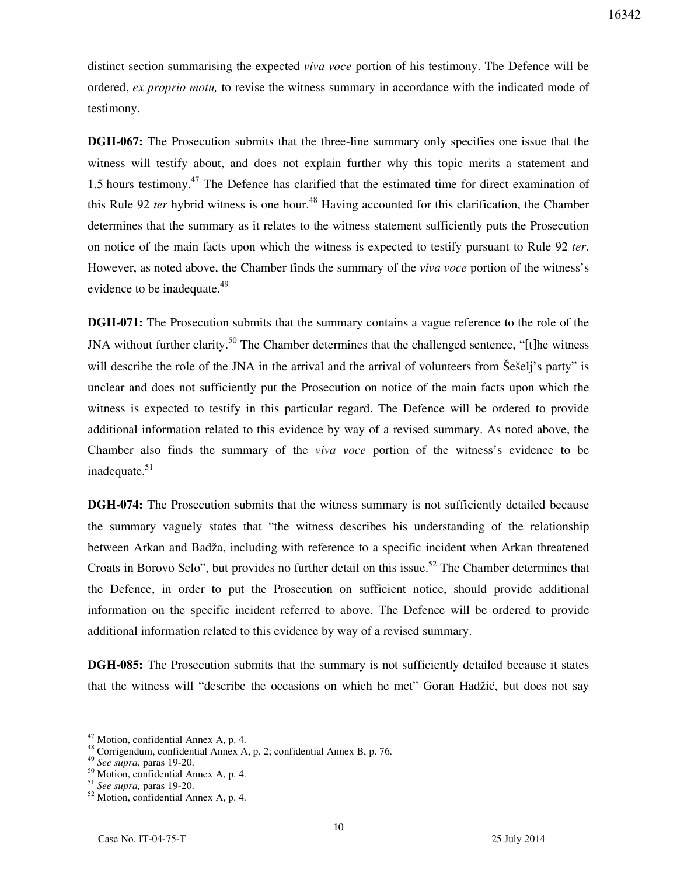distinct section summarising the expected *viva voce* portion of his testimony. The Defence will be ordered, *ex proprio motu,* to revise the witness summary in accordance with the indicated mode of testimony.

**DGH-067:** The Prosecution submits that the three-line summary only specifies one issue that the witness will testify about, and does not explain further why this topic merits a statement and 1.5 hours testimony.<sup>47</sup> The Defence has clarified that the estimated time for direct examination of this Rule 92 *ter* hybrid witness is one hour.<sup>48</sup> Having accounted for this clarification, the Chamber determines that the summary as it relates to the witness statement sufficiently puts the Prosecution on notice of the main facts upon which the witness is expected to testify pursuant to Rule 92 *ter*. However, as noted above, the Chamber finds the summary of the *viva voce* portion of the witness's evidence to be inadequate.<sup>49</sup>

**DGH-071:** The Prosecution submits that the summary contains a vague reference to the role of the JNA without further clarity.<sup>50</sup> The Chamber determines that the challenged sentence, "[t]he witness will describe the role of the JNA in the arrival and the arrival of volunteers from Šešelj's party" is unclear and does not sufficiently put the Prosecution on notice of the main facts upon which the witness is expected to testify in this particular regard. The Defence will be ordered to provide additional information related to this evidence by way of a revised summary. As noted above, the Chamber also finds the summary of the *viva voce* portion of the witness's evidence to be inadequate.<sup>51</sup>

**DGH-074:** The Prosecution submits that the witness summary is not sufficiently detailed because the summary vaguely states that "the witness describes his understanding of the relationship between Arkan and Badža, including with reference to a specific incident when Arkan threatened Croats in Borovo Selo", but provides no further detail on this issue.<sup>52</sup> The Chamber determines that the Defence, in order to put the Prosecution on sufficient notice, should provide additional information on the specific incident referred to above. The Defence will be ordered to provide additional information related to this evidence by way of a revised summary.

**DGH-085:** The Prosecution submits that the summary is not sufficiently detailed because it states that the witness will "describe the occasions on which he met" Goran Hadžić, but does not say

 $47$  Motion, confidential Annex A, p. 4.

<sup>48</sup> Corrigendum, confidential Annex A, p. 2; confidential Annex B, p. 76.

<sup>49</sup> *See supra,* paras 19-20.

<sup>50</sup> Motion, confidential Annex A, p. 4.

<sup>51</sup> *See supra,* paras 19-20.

<sup>52</sup> Motion, confidential Annex A, p. 4.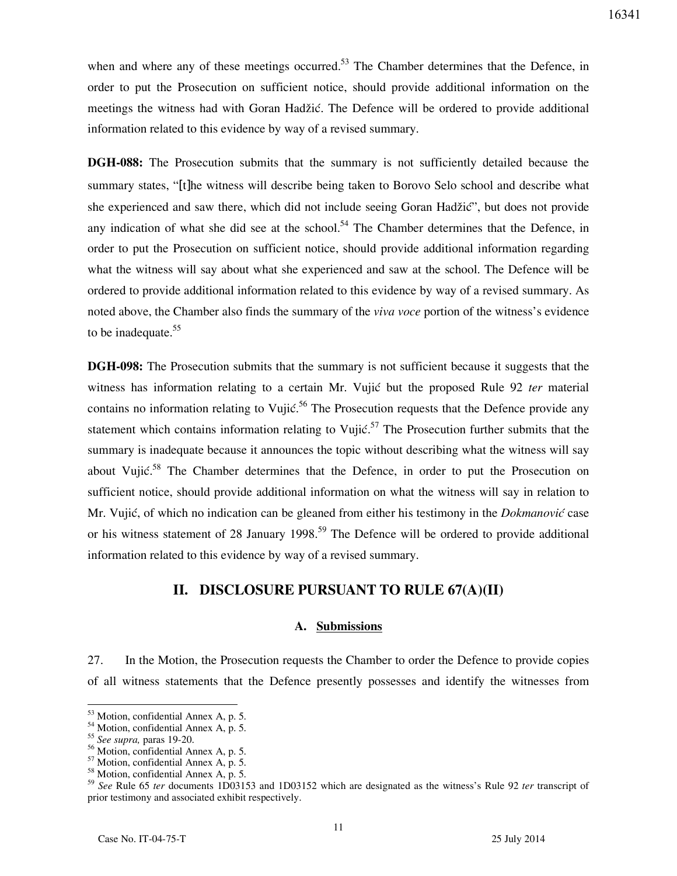when and where any of these meetings occurred.<sup>53</sup> The Chamber determines that the Defence, in order to put the Prosecution on sufficient notice, should provide additional information on the meetings the witness had with Goran Hadžić. The Defence will be ordered to provide additional information related to this evidence by way of a revised summary.

**DGH-088:** The Prosecution submits that the summary is not sufficiently detailed because the summary states, "[t]he witness will describe being taken to Borovo Selo school and describe what she experienced and saw there, which did not include seeing Goran Hadžić", but does not provide any indication of what she did see at the school.<sup>54</sup> The Chamber determines that the Defence, in order to put the Prosecution on sufficient notice, should provide additional information regarding what the witness will say about what she experienced and saw at the school. The Defence will be ordered to provide additional information related to this evidence by way of a revised summary. As noted above, the Chamber also finds the summary of the *viva voce* portion of the witness's evidence to be inadequate.<sup>55</sup>

**DGH-098:** The Prosecution submits that the summary is not sufficient because it suggests that the witness has information relating to a certain Mr. Vujić but the proposed Rule 92 *ter* material contains no information relating to Vujić.<sup>56</sup> The Prosecution requests that the Defence provide any statement which contains information relating to Vujić.<sup>57</sup> The Prosecution further submits that the summary is inadequate because it announces the topic without describing what the witness will say about Vujić.<sup>58</sup> The Chamber determines that the Defence, in order to put the Prosecution on sufficient notice, should provide additional information on what the witness will say in relation to Mr. Vujić, of which no indication can be gleaned from either his testimony in the *Dokmanović* case or his witness statement of 28 January 1998.<sup>59</sup> The Defence will be ordered to provide additional information related to this evidence by way of a revised summary.

## **II. DISCLOSURE PURSUANT TO RULE 67(A)(II)**

### **A. Submissions**

27. In the Motion, the Prosecution requests the Chamber to order the Defence to provide copies of all witness statements that the Defence presently possesses and identify the witnesses from

<sup>&</sup>lt;sup>53</sup> Motion, confidential Annex A, p. 5.

<sup>54</sup> Motion, confidential Annex A, p. 5.

<sup>55</sup> *See supra,* paras 19-20.

<sup>56</sup> Motion, confidential Annex A, p. 5.

<sup>57</sup> Motion, confidential Annex A, p. 5.

<sup>58</sup> Motion, confidential Annex A, p. 5.

<sup>59</sup> *See* Rule 65 *ter* documents 1D03153 and 1D03152 which are designated as the witness's Rule 92 *ter* transcript of prior testimony and associated exhibit respectively.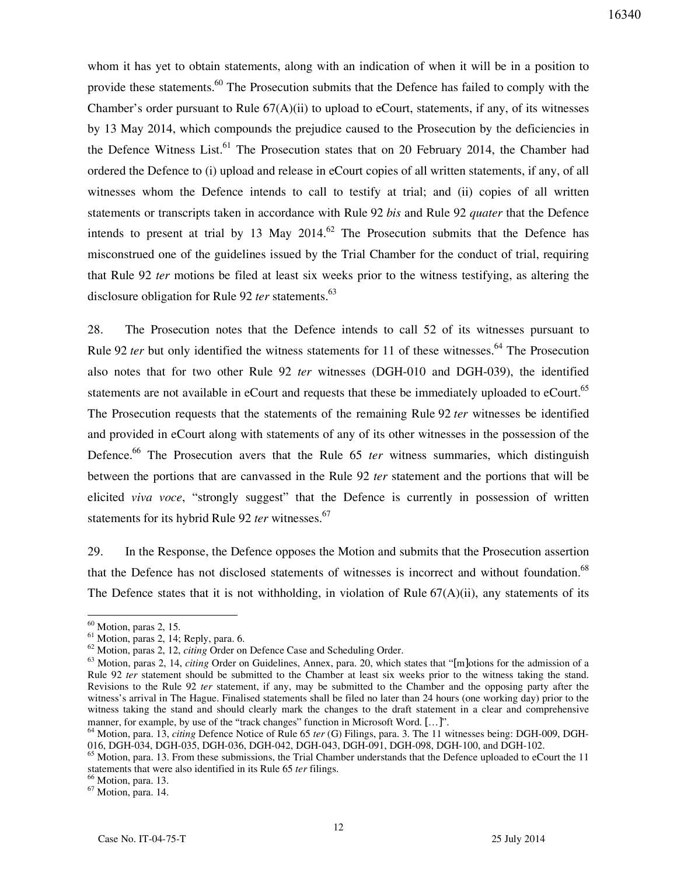whom it has yet to obtain statements, along with an indication of when it will be in a position to provide these statements.<sup>60</sup> The Prosecution submits that the Defence has failed to comply with the Chamber's order pursuant to Rule  $67(A)(ii)$  to upload to eCourt, statements, if any, of its witnesses by 13 May 2014, which compounds the prejudice caused to the Prosecution by the deficiencies in the Defence Witness List.<sup>61</sup> The Prosecution states that on 20 February 2014, the Chamber had ordered the Defence to (i) upload and release in eCourt copies of all written statements, if any, of all witnesses whom the Defence intends to call to testify at trial; and (ii) copies of all written statements or transcripts taken in accordance with Rule 92 *bis* and Rule 92 *quater* that the Defence intends to present at trial by 13 May 2014.<sup>62</sup> The Prosecution submits that the Defence has misconstrued one of the guidelines issued by the Trial Chamber for the conduct of trial, requiring that Rule 92 *ter* motions be filed at least six weeks prior to the witness testifying, as altering the disclosure obligation for Rule 92 *ter* statements.<sup>63</sup>

28. The Prosecution notes that the Defence intends to call 52 of its witnesses pursuant to Rule 92 *ter* but only identified the witness statements for 11 of these witnesses.<sup>64</sup> The Prosecution also notes that for two other Rule 92 *ter* witnesses (DGH-010 and DGH-039), the identified statements are not available in eCourt and requests that these be immediately uploaded to eCourt.<sup>65</sup> The Prosecution requests that the statements of the remaining Rule 92 *ter* witnesses be identified and provided in eCourt along with statements of any of its other witnesses in the possession of the Defence.<sup>66</sup> The Prosecution avers that the Rule 65 *ter* witness summaries, which distinguish between the portions that are canvassed in the Rule 92 *ter* statement and the portions that will be elicited *viva voce*, "strongly suggest" that the Defence is currently in possession of written statements for its hybrid Rule 92 *ter* witnesses.<sup>67</sup>

29. In the Response, the Defence opposes the Motion and submits that the Prosecution assertion that the Defence has not disclosed statements of witnesses is incorrect and without foundation.<sup>68</sup> The Defence states that it is not withholding, in violation of Rule  $67(A)(ii)$ , any statements of its

 $60$  Motion, paras 2, 15.

<sup>61</sup> Motion, paras 2, 14; Reply, para. 6.

<sup>62</sup> Motion, paras 2, 12, *citing* Order on Defence Case and Scheduling Order.

<sup>&</sup>lt;sup>63</sup> Motion, paras 2, 14, *citing* Order on Guidelines, Annex, para. 20, which states that "[m]otions for the admission of a Rule 92 *ter* statement should be submitted to the Chamber at least six weeks prior to the witness taking the stand. Revisions to the Rule 92 *ter* statement, if any, may be submitted to the Chamber and the opposing party after the witness's arrival in The Hague. Finalised statements shall be filed no later than 24 hours (one working day) prior to the witness taking the stand and should clearly mark the changes to the draft statement in a clear and comprehensive manner, for example, by use of the "track changes" function in Microsoft Word. [...]".

<sup>64</sup> Motion, para. 13, *citing* Defence Notice of Rule 65 *ter* (G) Filings, para. 3. The 11 witnesses being: DGH-009, DGH-016, DGH-034, DGH-035, DGH-036, DGH-042, DGH-043, DGH-091, DGH-098, DGH-100, and DGH-102.

 $65$  Motion, para. 13. From these submissions, the Trial Chamber understands that the Defence uploaded to eCourt the 11 statements that were also identified in its Rule 65 *ter* filings.

<sup>&</sup>lt;sup>66</sup> Motion, para. 13.

<sup>67</sup> Motion, para. 14.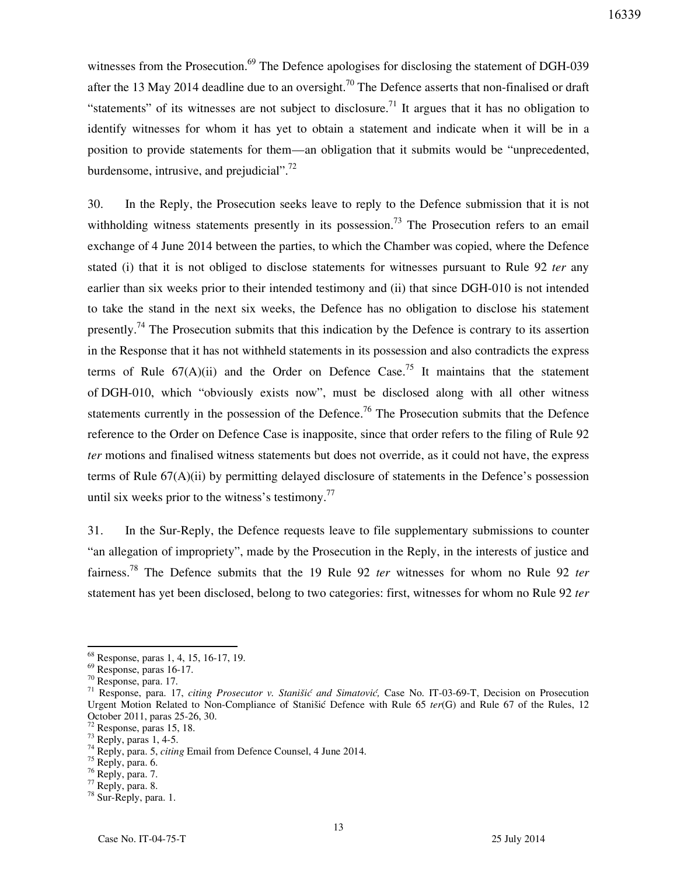witnesses from the Prosecution.<sup>69</sup> The Defence apologises for disclosing the statement of DGH-039 after the 13 May 2014 deadline due to an oversight.<sup>70</sup> The Defence asserts that non-finalised or draft "statements" of its witnesses are not subject to disclosure.<sup>71</sup> It argues that it has no obligation to identify witnesses for whom it has yet to obtain a statement and indicate when it will be in a position to provide statements for them—an obligation that it submits would be "unprecedented, burdensome, intrusive, and prejudicial". $^{72}$ 

30. In the Reply, the Prosecution seeks leave to reply to the Defence submission that it is not withholding witness statements presently in its possession.<sup>73</sup> The Prosecution refers to an email exchange of 4 June 2014 between the parties, to which the Chamber was copied, where the Defence stated (i) that it is not obliged to disclose statements for witnesses pursuant to Rule 92 *ter* any earlier than six weeks prior to their intended testimony and (ii) that since DGH-010 is not intended to take the stand in the next six weeks, the Defence has no obligation to disclose his statement presently.<sup>74</sup> The Prosecution submits that this indication by the Defence is contrary to its assertion in the Response that it has not withheld statements in its possession and also contradicts the express terms of Rule  $67(A)(ii)$  and the Order on Defence Case.<sup>75</sup> It maintains that the statement of DGH-010, which "obviously exists now", must be disclosed along with all other witness statements currently in the possession of the Defence.<sup>76</sup> The Prosecution submits that the Defence reference to the Order on Defence Case is inapposite, since that order refers to the filing of Rule 92 *ter* motions and finalised witness statements but does not override, as it could not have, the express terms of Rule 67(A)(ii) by permitting delayed disclosure of statements in the Defence's possession until six weeks prior to the witness's testimony.<sup>77</sup>

31. In the Sur-Reply, the Defence requests leave to file supplementary submissions to counter "an allegation of impropriety", made by the Prosecution in the Reply, in the interests of justice and fairness.<sup>78</sup> The Defence submits that the 19 Rule 92 *ter* witnesses for whom no Rule 92 *ter*  statement has yet been disclosed, belong to two categories: first, witnesses for whom no Rule 92 *ter*

<sup>68</sup> Response, paras 1, 4, 15, 16-17, 19.

<sup>69</sup> Response, paras 16-17.

<sup>70</sup> Response, para. 17.

<sup>&</sup>lt;sup>71</sup> Response, para. 17, *citing Prosecutor v. Stanišić and Simatović*, Case No. IT-03-69-T, Decision on Prosecution Urgent Motion Related to Non-Compliance of Stanišić Defence with Rule 65 ter(G) and Rule 67 of the Rules, 12 October 2011, paras 25-26, 30.

<sup>72</sup> Response, paras 15, 18.

 $73$  Reply, paras 1, 4-5.

<sup>74</sup> Reply, para. 5, *citing* Email from Defence Counsel, 4 June 2014.

 $75$  Reply, para. 6.

 $76$  Reply, para. 7.

 $77$  Reply, para. 8.

<sup>78</sup> Sur-Reply, para. 1.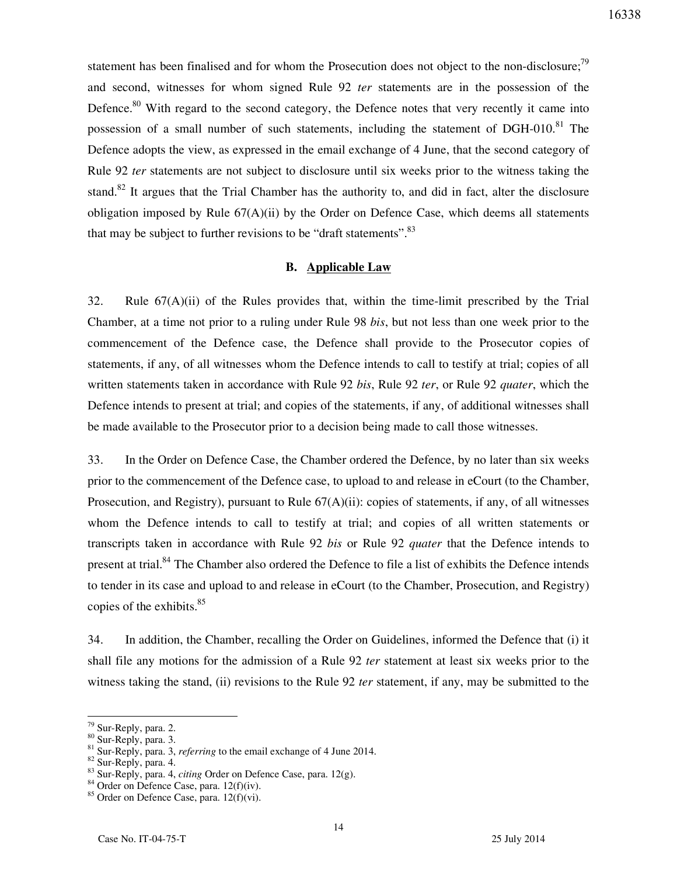statement has been finalised and for whom the Prosecution does not object to the non-disclosure;<sup>79</sup> and second, witnesses for whom signed Rule 92 *ter* statements are in the possession of the Defence.<sup>80</sup> With regard to the second category, the Defence notes that very recently it came into possession of a small number of such statements, including the statement of DGH-010.<sup>81</sup> The Defence adopts the view, as expressed in the email exchange of 4 June, that the second category of Rule 92 *ter* statements are not subject to disclosure until six weeks prior to the witness taking the stand.<sup>82</sup> It argues that the Trial Chamber has the authority to, and did in fact, alter the disclosure obligation imposed by Rule  $67(A)(ii)$  by the Order on Defence Case, which deems all statements that may be subject to further revisions to be "draft statements".  $83$ 

## **B. Applicable Law**

32. Rule  $67(A)(ii)$  of the Rules provides that, within the time-limit prescribed by the Trial Chamber, at a time not prior to a ruling under Rule 98 *bis*, but not less than one week prior to the commencement of the Defence case, the Defence shall provide to the Prosecutor copies of statements, if any, of all witnesses whom the Defence intends to call to testify at trial; copies of all written statements taken in accordance with Rule 92 *bis*, Rule 92 *ter*, or Rule 92 *quater*, which the Defence intends to present at trial; and copies of the statements, if any, of additional witnesses shall be made available to the Prosecutor prior to a decision being made to call those witnesses.

33. In the Order on Defence Case, the Chamber ordered the Defence, by no later than six weeks prior to the commencement of the Defence case, to upload to and release in eCourt (to the Chamber, Prosecution, and Registry), pursuant to Rule 67(A)(ii): copies of statements, if any, of all witnesses whom the Defence intends to call to testify at trial; and copies of all written statements or transcripts taken in accordance with Rule 92 *bis* or Rule 92 *quater* that the Defence intends to present at trial.<sup>84</sup> The Chamber also ordered the Defence to file a list of exhibits the Defence intends to tender in its case and upload to and release in eCourt (to the Chamber, Prosecution, and Registry) copies of the exhibits. $85$ 

34. In addition, the Chamber, recalling the Order on Guidelines, informed the Defence that (i) it shall file any motions for the admission of a Rule 92 *ter* statement at least six weeks prior to the witness taking the stand, (ii) revisions to the Rule 92 *ter* statement, if any, may be submitted to the

<sup>&</sup>lt;sup>79</sup> Sur-Reply, para. 2.

<sup>80</sup> Sur-Reply, para. 3.

<sup>&</sup>lt;sup>81</sup> Sur-Reply, para. 3, *referring* to the email exchange of 4 June 2014.

<sup>82</sup> Sur-Reply, para. 4.

<sup>83</sup> Sur-Reply, para. 4, *citing* Order on Defence Case, para. 12(g).

<sup>&</sup>lt;sup>84</sup> Order on Defence Case, para. 12(f)(iv).

 $85$  Order on Defence Case, para. 12(f)(vi).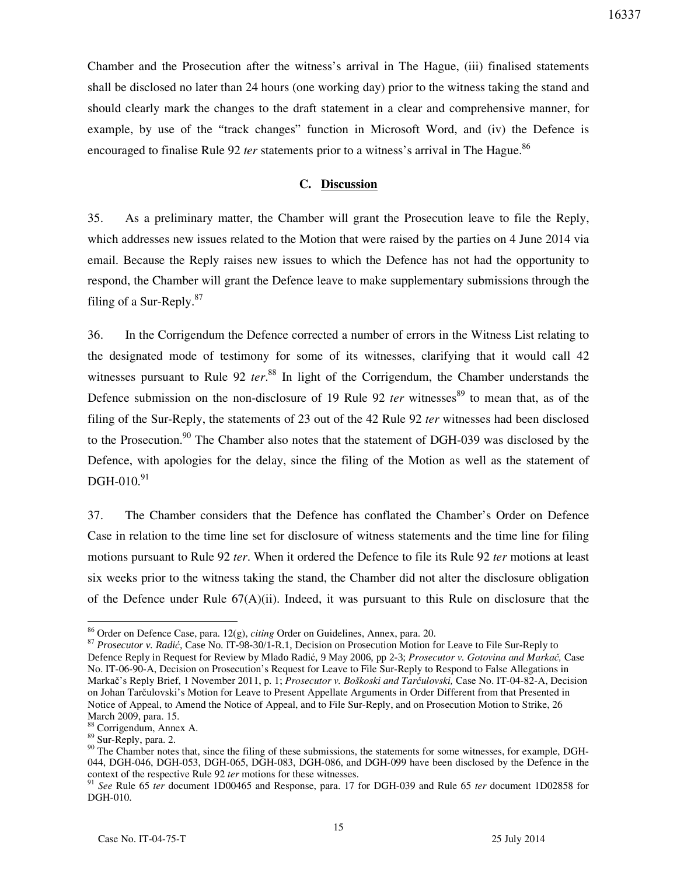Chamber and the Prosecution after the witness's arrival in The Hague, (iii) finalised statements shall be disclosed no later than 24 hours (one working day) prior to the witness taking the stand and should clearly mark the changes to the draft statement in a clear and comprehensive manner, for

16337

example, by use of the "track changes" function in Microsoft Word, and (iv) the Defence is encouraged to finalise Rule 92 *ter* statements prior to a witness's arrival in The Hague.<sup>86</sup>

## **C. Discussion**

35. As a preliminary matter, the Chamber will grant the Prosecution leave to file the Reply, which addresses new issues related to the Motion that were raised by the parties on 4 June 2014 via email. Because the Reply raises new issues to which the Defence has not had the opportunity to respond, the Chamber will grant the Defence leave to make supplementary submissions through the filing of a Sur-Reply. $87$ 

36. In the Corrigendum the Defence corrected a number of errors in the Witness List relating to the designated mode of testimony for some of its witnesses, clarifying that it would call 42 witnesses pursuant to Rule 92 *ter*.<sup>88</sup> In light of the Corrigendum, the Chamber understands the Defence submission on the non-disclosure of 19 Rule 92 *ter* witnesses<sup>89</sup> to mean that, as of the filing of the Sur-Reply, the statements of 23 out of the 42 Rule 92 *ter* witnesses had been disclosed to the Prosecution.<sup>90</sup> The Chamber also notes that the statement of DGH-039 was disclosed by the Defence, with apologies for the delay, since the filing of the Motion as well as the statement of  $DGH-010.<sup>91</sup>$ 

37. The Chamber considers that the Defence has conflated the Chamber's Order on Defence Case in relation to the time line set for disclosure of witness statements and the time line for filing motions pursuant to Rule 92 *ter*. When it ordered the Defence to file its Rule 92 *ter* motions at least six weeks prior to the witness taking the stand, the Chamber did not alter the disclosure obligation of the Defence under Rule  $67(A)(ii)$ . Indeed, it was pursuant to this Rule on disclosure that the

<sup>86</sup> Order on Defence Case, para. 12(g), *citing* Order on Guidelines, Annex, para. 20.

<sup>87</sup> *Prosecutor v. Radić,* Case No. IT-98-30/1-R.1, Decision on Prosecution Motion for Leave to File Sur-Reply to Defence Reply in Request for Review by Mlađo Radić, 9 May 2006, pp 2-3; *Prosecutor v. Gotovina and Markač,* Case No. IT-06-90-A, Decision on Prosecution's Request for Leave to File Sur-Reply to Respond to False Allegations in Markač's Reply Brief, 1 November 2011, p. 1; *Prosecutor v. Boškoski and Tarčulovski,* Case No. IT-04-82-A, Decision on Johan Tarčulovski's Motion for Leave to Present Appellate Arguments in Order Different from that Presented in Notice of Appeal, to Amend the Notice of Appeal, and to File Sur-Reply, and on Prosecution Motion to Strike, 26 March 2009, para. 15.

<sup>88</sup> Corrigendum, Annex A.

<sup>89</sup> Sur-Reply, para. 2.

<sup>&</sup>lt;sup>90</sup> The Chamber notes that, since the filing of these submissions, the statements for some witnesses, for example, DGH-044, DGH-046, DGH-053, DGH-065, DGH-083, DGH-086, and DGH-099 have been disclosed by the Defence in the context of the respective Rule 92 *ter* motions for these witnesses.

<sup>91</sup> *See* Rule 65 *ter* document 1D00465 and Response, para. 17 for DGH-039 and Rule 65 *ter* document 1D02858 for DGH-010.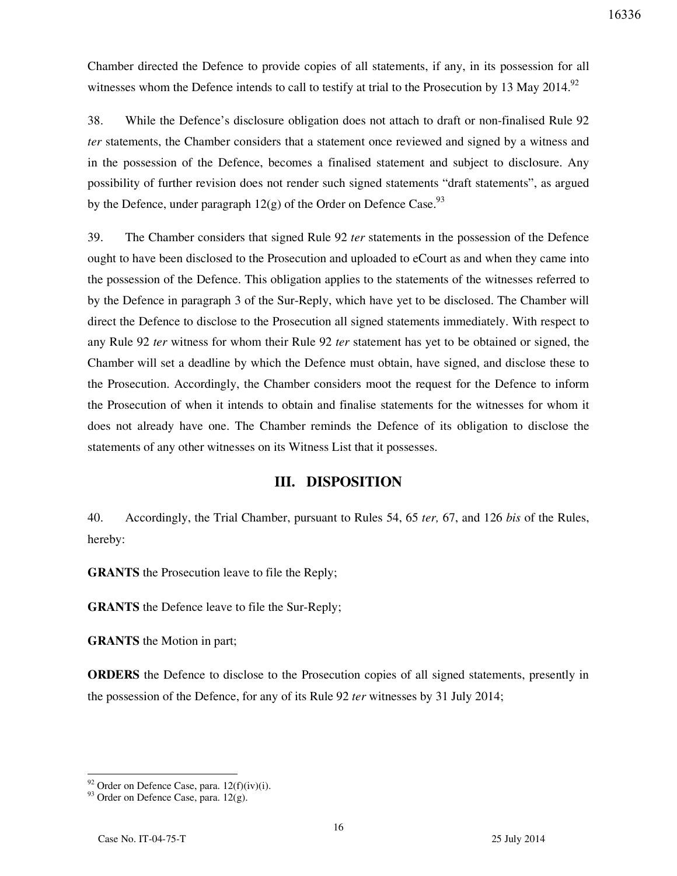Chamber directed the Defence to provide copies of all statements, if any, in its possession for all witnesses whom the Defence intends to call to testify at trial to the Prosecution by 13 May 2014.<sup>92</sup>

38. While the Defence's disclosure obligation does not attach to draft or non-finalised Rule 92 *ter* statements, the Chamber considers that a statement once reviewed and signed by a witness and in the possession of the Defence, becomes a finalised statement and subject to disclosure. Any possibility of further revision does not render such signed statements "draft statements", as argued by the Defence, under paragraph  $12(g)$  of the Order on Defence Case.<sup>93</sup>

39. The Chamber considers that signed Rule 92 *ter* statements in the possession of the Defence ought to have been disclosed to the Prosecution and uploaded to eCourt as and when they came into the possession of the Defence. This obligation applies to the statements of the witnesses referred to by the Defence in paragraph 3 of the Sur-Reply, which have yet to be disclosed. The Chamber will direct the Defence to disclose to the Prosecution all signed statements immediately. With respect to any Rule 92 *ter* witness for whom their Rule 92 *ter* statement has yet to be obtained or signed, the Chamber will set a deadline by which the Defence must obtain, have signed, and disclose these to the Prosecution. Accordingly, the Chamber considers moot the request for the Defence to inform the Prosecution of when it intends to obtain and finalise statements for the witnesses for whom it does not already have one. The Chamber reminds the Defence of its obligation to disclose the statements of any other witnesses on its Witness List that it possesses.

## **III. DISPOSITION**

40. Accordingly, the Trial Chamber, pursuant to Rules 54, 65 *ter,* 67, and 126 *bis* of the Rules, hereby:

**GRANTS** the Prosecution leave to file the Reply;

**GRANTS** the Defence leave to file the Sur-Reply;

**GRANTS** the Motion in part;

**ORDERS** the Defence to disclose to the Prosecution copies of all signed statements, presently in the possession of the Defence, for any of its Rule 92 *ter* witnesses by 31 July 2014;

 $92$  Order on Defence Case, para. 12(f)(iv)(i).

<sup>&</sup>lt;sup>93</sup> Order on Defence Case, para. 12(g).